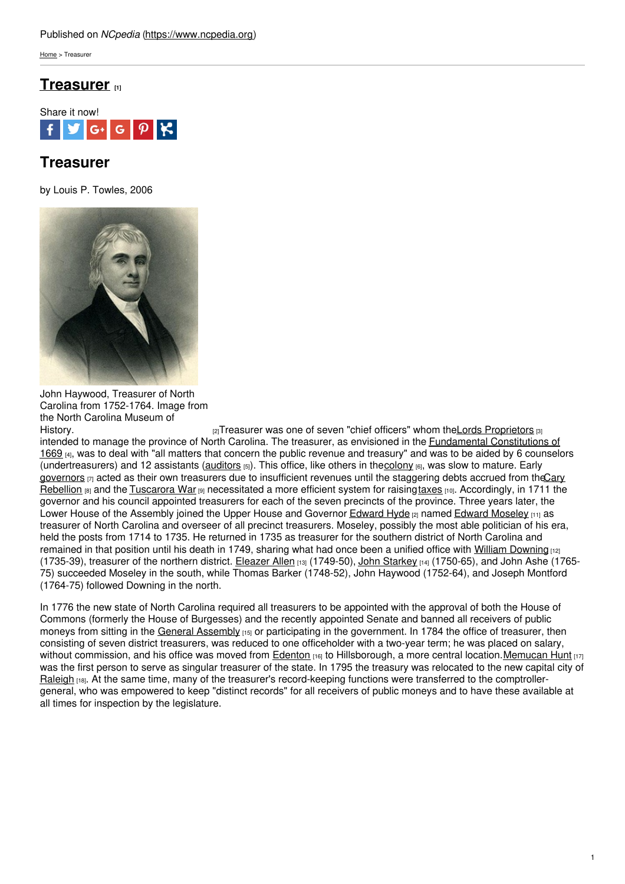[Home](https://www.ncpedia.org/) > Treasurer

# **[Treasurer](https://www.ncpedia.org/treasurer) [1]**



# **Treasurer**

by Louis P. Towles, 2006



John Haywood, Treasurer of North Carolina from 1752-1764. Image from the North Carolina Museum of<br>History.

 $|2|$ Treasurer was one of seven "chief officers" whom the Lords [Proprietors](https://www.ncpedia.org/lords-proprietors)  $|3|$ intended to manage the province of North Carolina. The treasurer, as envisioned in the [Fundamental](https://www.ncpedia.org/fundamental-constitutions) Constitutions of 1669 [4], was to deal with "all matters that concern the public revenue and treasury" and was to be aided by 6 counselors (undertreasurers) and 12 assistants [\(auditors](https://www.ncpedia.org/auditor-state)  $(s)$ ). This office, like others in th[ecolony](https://www.ncpedia.org/colonial-period-overview)  $(s)$ , was slow to mature. Early [governors](https://www.ncpedia.org/government/governorship)  $\eta$  acted as their own treasurers due to insufficient revenues until the staggering debts accrued from theCary Rebellion  $181$  and the [Tuscarora](https://www.ncpedia.org/category/subjects/tuscarora-indian-) War  $191$  [necessitated](https://www.ncpedia.org/cary-rebellion) a more efficient system for raising [taxes](https://www.ncpedia.org/taxes-state)  $110$ . Accordingly, in 1711 the governor and his council appointed treasurers for each of the seven precincts of the province. Three years later, the Lower House of the Assembly joined the Upper House and Governor [Edward](https://www.ncpedia.org/hyde-edward) Hyde [2] named Edward [Moseley](https://www.ncpedia.org/biography/moseley-edward) [11] as treasurer of North Carolina and overseer of all precinct treasurers. Moseley, possibly the most able politician of his era, held the posts from 1714 to 1735. He returned in 1735 as treasurer for the southern district of North Carolina and remained in that position until his death in 1749, sharing what had once been a unified office with William [Downing](https://www.ncpedia.org/biography/downing-william) [12] (1735-39), treasurer of the northern district. [Eleazer](https://www.ncpedia.org/biography/allen-eleazer) Allen [13] (1749-50), John [Starkey](https://www.ncpedia.org/biography/starkey-john) [14] (1750-65), and John Ashe (1765-75) succeeded Moseley in the south, while Thomas Barker (1748-52), John Haywood (1752-64), and Joseph Montford (1764-75) followed Downing in the north.

In 1776 the new state of North Carolina required all treasurers to be appointed with the approval of both the House of Commons (formerly the House of Burgesses) and the recently appointed Senate and banned all receivers of public moneys from sitting in the General [Assembly](https://www.ncpedia.org/general-assembly) [15] or participating in the government. In 1784 the office of treasurer, then consisting of seven district treasurers, was reduced to one officeholder with a two-year term; he was placed on salary, without commission, and his office was moved from **[Edenton](https://www.ncpedia.org/edenton)** [16] to Hillsborough, a more central location. Memucan Hunt [17] was the first person to serve as singular treasurer of the state. In 1795 the treasury was relocated to the new capital city of [Raleigh](https://www.ncpedia.org/geography/raleigh) [18]. At the same time, many of the treasurer's record-keeping functions were transferred to the comptrollergeneral, who was empowered to keep "distinct records" for all receivers of public moneys and to have these available at all times for inspection by the legislature.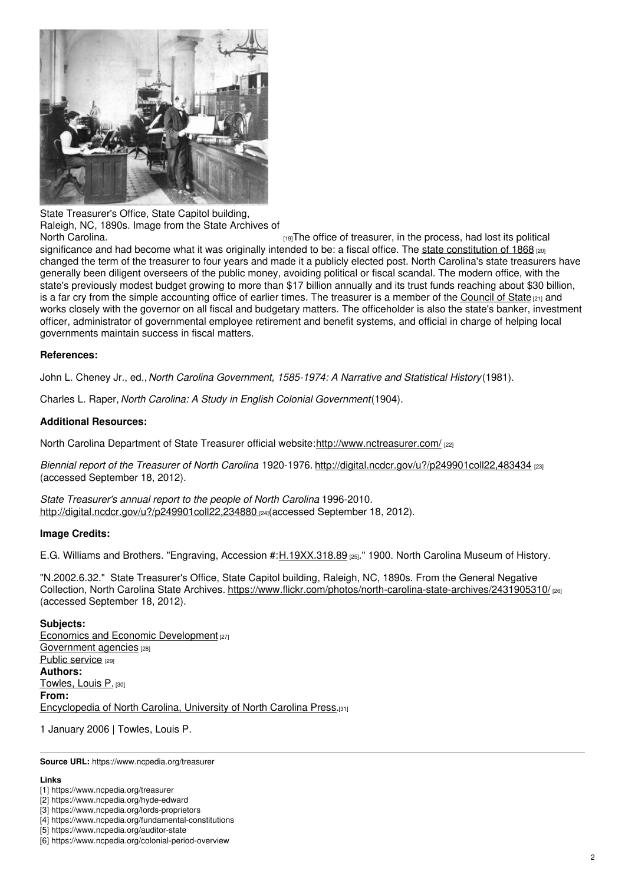

State Treasurer's Office, State Capitol building, Raleigh, NC, 1890s. Image from the State Archives of

 $H<sub>19</sub>$ The office of treasurer, in the process, had lost its political significance and had become what it was originally intended to be: a fiscal office. The state [constitution](https://www.ncpedia.org/government/convention-1868) of 1868 [20] changed the term of the treasurer to four years and made it a publicly elected post. North Carolina's state treasurers have generally been diligent overseers of the public money, avoiding political or fiscal scandal. The modern office, with the state's previously modest budget growing to more than \$17 billion annually and its trust funds reaching about \$30 billion, is a far cry from the simple accounting office of earlier times. The treasurer is a member of the [Council](https://www.ncpedia.org/council-state) of State  $a_{11}$  and works closely with the governor on all fiscal and budgetary matters. The officeholder is also the state's banker, investment officer, administrator of governmental employee retirement and benefit systems, and official in charge of helping local governments maintain success in fiscal matters.

### **References:**

John L. Cheney Jr., ed., *North Carolina Government, 1585-1974: A Narrative and Statistical History*(1981).

Charles L. Raper, *North Carolina: A Study in English Colonial Government*(1904).

### **Additional Resources:**

North Carolina Department of State Treasurer official website:<http://www.nctreasurer.com/> [22]

*Biennial report of the Treasurer of North Carolina*. 1920-1976. <http://digital.ncdcr.gov/u?/p249901coll22,483434> [23] (accessed September 18, 2012).

*State Treasurer's annual report to the people of North Carolina*. 1996-2010. <http://digital.ncdcr.gov/u?/p249901coll22,234880> [24](accessed September 18, 2012).

#### **Image Credits:**

E.G. Williams and Brothers. "Engraving, Accession #:[H.19XX.318.89](http://collections.ncdcr.gov/RediscoveryProficioPublicSearch/ShowItem.aspx?13297+) [25]." 1900. North Carolina Museum of History.

"N.2002.6.32." State Treasurer's Office, State Capitol building, Raleigh, NC, 1890s. From the General Negative Collection, North Carolina State Archives. <https://www.flickr.com/photos/north-carolina-state-archives/2431905310/> [26] (accessed September 18, 2012).

#### **Subjects:**

**Economics and Economic [Development](https://www.ncpedia.org/category/subjects/ec) [27]** [Government](https://www.ncpedia.org/category/subjects/go) agencies [28] Public [service](https://www.ncpedia.org/category/subjects/public-service) [29] **Authors:** [Towles,](https://www.ncpedia.org/category/authors/towles-louis-p) Louis P. [30] **From:** [Encyclopedia](https://www.ncpedia.org/category/entry-source/encyclopedia-) of North Carolina, University of North Carolina Press.[31]

1 January 2006 | Towles, Louis P.

**Source URL:** https://www.ncpedia.org/treasurer

#### **Links**

<sup>[1]</sup> https://www.ncpedia.org/treasurer

<sup>[2]</sup> https://www.ncpedia.org/hyde-edward

<sup>[3]</sup> https://www.ncpedia.org/lords-proprietors

<sup>[4]</sup> https://www.ncpedia.org/fundamental-constitutions

<sup>[5]</sup> https://www.ncpedia.org/auditor-state

<sup>[6]</sup> https://www.ncpedia.org/colonial-period-overview